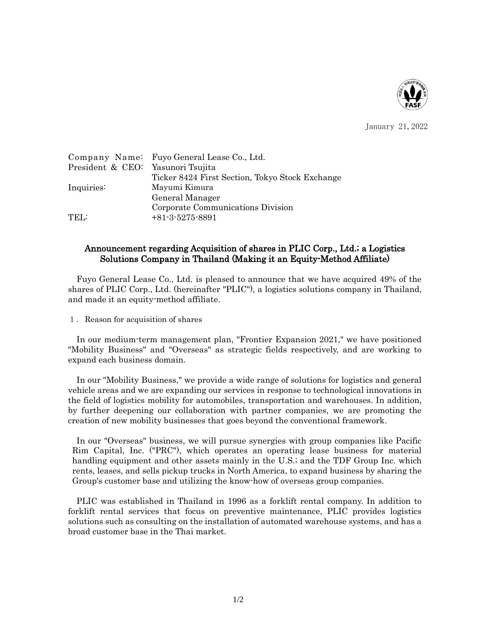

January 21,2022

| Company Name: Fuyo General Lease Co., Ltd.      |
|-------------------------------------------------|
| President & CEO: Yasunori Tsujita               |
| Ticker 8424 First Section, Tokyo Stock Exchange |
| Mayumi Kimura                                   |
| General Manager                                 |
| Corporate Communications Division               |
| $+81-3-5275-8891$                               |
|                                                 |

## Announcement regarding Acquisition of shares in PLIC Corp., Ltd.; a Logistics Solutions Company in Thailand (Making it an Equity-Method Affiliate)

Fuyo General Lease Co., Ltd. is pleased to announce that we have acquired 49% of the shares of PLIC Corp., Ltd. (hereinafter "PLIC"), a logistics solutions company in Thailand, and made it an equity-method affiliate.

1.Reason for acquisition of shares

In our medium-term management plan, "Frontier Expansion 2021," we have positioned "Mobility Business" and "Overseas" as strategic fields respectively, and are working to expand each business domain.

In our "Mobility Business," we provide a wide range of solutions for logistics and general vehicle areas and we are expanding our services in response to technological innovations in the field of logistics mobility for automobiles, transportation and warehouses. In addition, by further deepening our collaboration with partner companies, we are promoting the creation of new mobility businesses that goes beyond the conventional framework.

In our "Overseas" business, we will pursue synergies with group companies like Pacific Rim Capital, Inc. ("PRC"), which operates an operating lease business for material handling equipment and other assets mainly in the U.S.; and the TDF Group Inc. which rents, leases, and sells pickup trucks in North America, to expand business by sharing the Group's customer base and utilizing the know-how of overseas group companies.

PLIC was established in Thailand in 1996 as a forklift rental company. In addition to forklift rental services that focus on preventive maintenance, PLIC provides logistics solutions such as consulting on the installation of automated warehouse systems, and has a broad customer base in the Thai market.